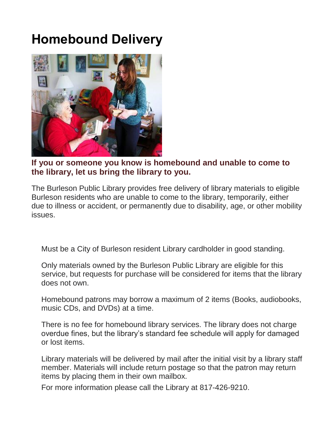## **Homebound Delivery**



**If you or someone you know is homebound and unable to come to the library, let us bring the library to you.**

The Burleson Public Library provides free delivery of library materials to eligible Burleson residents who are unable to come to the library, temporarily, either due to illness or accident, or permanently due to disability, age, or other mobility issues.

Must be a City of Burleson resident Library cardholder in good standing.

Only materials owned by the Burleson Public Library are eligible for this service, but requests for purchase will be considered for items that the library does not own.

Homebound patrons may borrow a maximum of 2 items (Books, audiobooks, music CDs, and DVDs) at a time.

There is no fee for homebound library services. The library does not charge overdue fines, but the library's standard fee schedule will apply for damaged or lost items.

Library materials will be delivered by mail after the initial visit by a library staff member. Materials will include return postage so that the patron may return items by placing them in their own mailbox.

For more information please call the Library at 817-426-9210.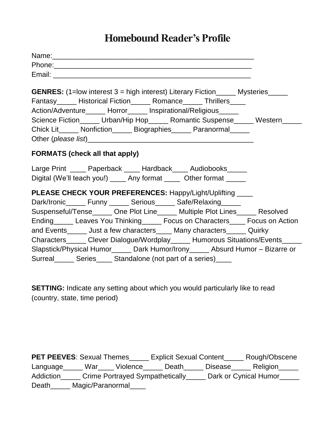## **Homebound Reader's Profile**

| <b>GENRES:</b> (1=low interest 3 = high interest) Literary Fiction______ Mysteries_____<br>Fantasy______ Historical Fiction______ Romance______ Thrillers_____<br>Action/Adventure______ Horror_____ Inspirational/Religious_____ |  |  |  |  |  |  |
|-----------------------------------------------------------------------------------------------------------------------------------------------------------------------------------------------------------------------------------|--|--|--|--|--|--|
| Science Fiction_____ Urban/Hip Hop_____ Romantic Suspense_____ Western_____                                                                                                                                                       |  |  |  |  |  |  |
| Chick Lit_____ Nonfiction______ Biographies_____ Paranormal_____                                                                                                                                                                  |  |  |  |  |  |  |
| <b>FORMATS (check all that apply)</b>                                                                                                                                                                                             |  |  |  |  |  |  |
| Large Print _____ Paperback _____ Hardback____ Audiobooks_____<br>Digital (We'll teach you!) _____ Any format _____ Other format _____                                                                                            |  |  |  |  |  |  |
| PLEASE CHECK YOUR PREFERENCES: Happy/Light/Uplifting ____                                                                                                                                                                         |  |  |  |  |  |  |
| Dark/Ironic______ Funny ______ Serious______ Safe/Relaxing______                                                                                                                                                                  |  |  |  |  |  |  |
| Suspenseful/Tense______ One Plot Line______ Multiple Plot Lines______ Resolved                                                                                                                                                    |  |  |  |  |  |  |
| Ending Leaves You Thinking Focus on Characters Focus on Action                                                                                                                                                                    |  |  |  |  |  |  |
| and Events______ Just a few characters_____ Many characters______ Quirky                                                                                                                                                          |  |  |  |  |  |  |
| Characters______ Clever Dialogue/Wordplay______ Humorous Situations/Events_____                                                                                                                                                   |  |  |  |  |  |  |
| Slapstick/Physical Humor______ Dark Humor/Irony______ Absurd Humor - Bizarre or                                                                                                                                                   |  |  |  |  |  |  |
| Surreal _______ Series ______ Standalone (not part of a series) _____                                                                                                                                                             |  |  |  |  |  |  |

**SETTING:** Indicate any setting about which you would particularly like to read (country, state, time period)

| <b>PET PEEVES: Sexual Themes</b>                                             |                  |          | <b>Explicit Sexual Content</b> |                | Rough/Obscene |
|------------------------------------------------------------------------------|------------------|----------|--------------------------------|----------------|---------------|
| Language                                                                     | War              | Violence | Death                          | <b>Disease</b> | Religion      |
| Crime Portrayed Sympathetically<br>Dark or Cynical Humor<br><b>Addiction</b> |                  |          |                                |                |               |
| Death                                                                        | Magic/Paranormal |          |                                |                |               |